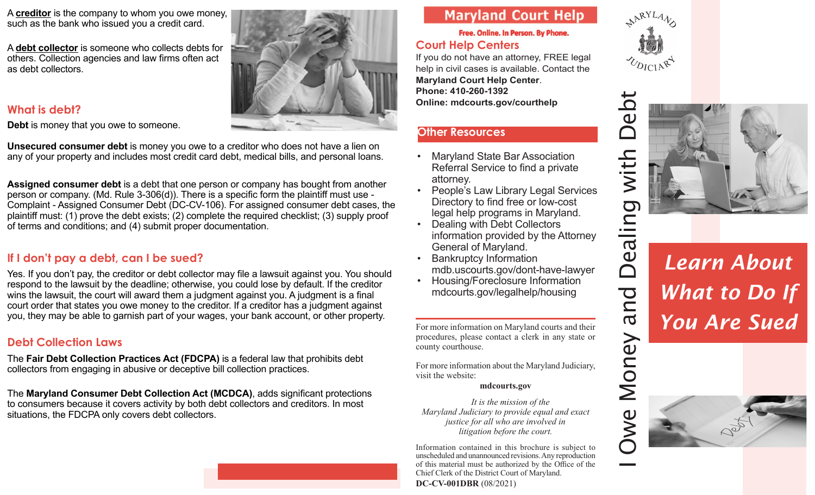A **creditor** is the company to whom you owe money, such as the bank who issued you a credit card.

A **debt collector** is someone who collects debts for others. Collection agencies and law firms often act as debt collectors.

### **What is debt?**

**Debt** is money that you owe to someone.

**Unsecured consumer debt** is money you owe to a creditor who does not have a lien on any of your property and includes most credit card debt, medical bills, and personal loans.

**Assigned consumer debt** is a debt that one person or company has bought from another person or company. (Md. Rule 3-306(d)). There is a specific form the plaintiff must use - Complaint - Assigned Consumer Debt (DC-CV-106). For assigned consumer debt cases, the plaintiff must: (1) prove the debt exists; (2) complete the required checklist; (3) supply proof of terms and conditions; and (4) submit proper documentation.

### **If I don't pay a debt, can I be sued?**

Yes. If you don't pay, the creditor or debt collector may file a lawsuit against you. You should respond to the lawsuit by the deadline; otherwise, you could lose by default. If the creditor wins the lawsuit, the court will award them a judgment against you. A judgment is a final court order that states you owe money to the creditor. If a creditor has a judgment against you, they may be able to garnish part of your wages, your bank account, or other property.

### **Debt Collection Laws**

The **Fair Debt Collection Practices Act (FDCPA)** is a federal law that prohibits debt collectors from engaging in abusive or deceptive bill collection practices.

The **Maryland Consumer Debt Collection Act (MCDCA)**, adds significant protections to consumers because it covers activity by both debt collectors and creditors. In most situations, the FDCPA only covers debt collectors.

# **Maryland Court Help**

### Free. Online. In Person. By Phone.

## **Court Help Centers**

If you do not have an attorney, FREE legal help in civil cases is available. Contact the **Maryland Court Help Center**. **Phone: 410-260-1392 Online: mdcourts.gov/courthelp**

### **Other Resources**

- Maryland State Bar Association Referral Service to find a private attorney.
- People's Law Library Legal Services Directory to find free or low-cost legal help programs in Maryland.
- Dealing with Debt Collectors information provided by the Attorney General of Maryland.
- **Bankruptcy Information** mdb.uscourts.gov/dont-have-lawyer
- Housing/Foreclosure Information mdcourts.gov/legalhelp/housing

For more information on Maryland courts and their procedures, please contact a clerk in any state or county courthouse.

For more information about the Maryland Judiciary, visit the website:

#### **mdcourts.gov**

*It is the mission of the Maryland Judiciary to provide equal and exact justice for all who are involved in litigation before the court.* 

Information contained in this brochure is subject to unscheduled and unannounced revisions. Any reproduction of this material must be authorized by the Office of the Chief Clerk of the District Court of Maryland. **DC-CV-001DBR** (08/2021)



 $\bar{\bm{\cap}}$ 

and



# *Learn About What to Do If You Are Sued*